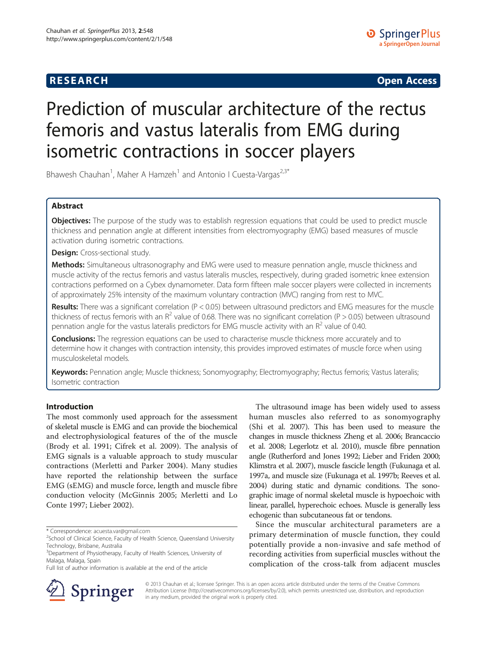## **RESEARCH CHINESE ARCH CHINESE ARCH CHINESE ARCH <b>CHINESE ARCH**

# Prediction of muscular architecture of the rectus femoris and vastus lateralis from EMG during isometric contractions in soccer players

Bhawesh Chauhan<sup>1</sup>, Maher A Hamzeh<sup>1</sup> and Antonio I Cuesta-Vargas<sup>2,3\*</sup>

## Abstract

Objectives: The purpose of the study was to establish regression equations that could be used to predict muscle thickness and pennation angle at different intensities from electromyography (EMG) based measures of muscle activation during isometric contractions.

Design: Cross-sectional study.

Methods: Simultaneous ultrasonography and EMG were used to measure pennation angle, muscle thickness and muscle activity of the rectus femoris and vastus lateralis muscles, respectively, during graded isometric knee extension contractions performed on a Cybex dynamometer. Data form fifteen male soccer players were collected in increments of approximately 25% intensity of the maximum voluntary contraction (MVC) ranging from rest to MVC.

Results: There was a significant correlation (P < 0.05) between ultrasound predictors and EMG measures for the muscle thickness of rectus femoris with an  $R^2$  value of 0.68. There was no significant correlation (P > 0.05) between ultrasound pennation angle for the vastus lateralis predictors for EMG muscle activity with an  $R^2$  value of 0.40.

Conclusions: The regression equations can be used to characterise muscle thickness more accurately and to determine how it changes with contraction intensity, this provides improved estimates of muscle force when using musculoskeletal models.

Keywords: Pennation angle; Muscle thickness; Sonomyography; Electromyography; Rectus femoris; Vastus lateralis; Isometric contraction

## Introduction

The most commonly used approach for the assessment of skeletal muscle is EMG and can provide the biochemical and electrophysiological features of the of the muscle (Brody et al. [1991](#page-6-0); Cifrek et al. [2009\)](#page-6-0). The analysis of EMG signals is a valuable approach to study muscular contractions (Merletti and Parker [2004](#page-6-0)). Many studies have reported the relationship between the surface EMG (sEMG) and muscle force, length and muscle fibre conduction velocity (McGinnis [2005](#page-6-0); Merletti and Lo Conte [1997;](#page-6-0) Lieber [2002](#page-6-0)).



Since the muscular architectural parameters are a primary determination of muscle function, they could potentially provide a non-invasive and safe method of recording activities from superficial muscles without the complication of the cross-talk from adjacent muscles



© 2013 Chauhan et al.; licensee Springer. This is an open access article distributed under the terms of the Creative Commons Attribution License [\(http://creativecommons.org/licenses/by/2.0\)](http://creativecommons.org/licenses/by/2.0), which permits unrestricted use, distribution, and reproduction in any medium, provided the original work is properly cited.

<sup>\*</sup> Correspondence: [acuesta.var@gmail.com](mailto:acuesta.var@gmail.com) <sup>2</sup>

<sup>&</sup>lt;sup>2</sup>School of Clinical Science, Faculty of Health Science, Queensland University Technology, Brisbane, Australia

<sup>&</sup>lt;sup>3</sup>Department of Physiotherapy, Faculty of Health Sciences, University of Malaga, Malaga, Spain

Full list of author information is available at the end of the article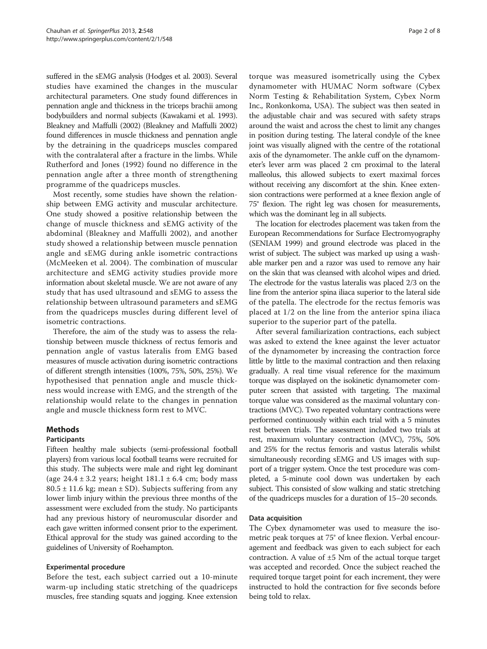suffered in the sEMG analysis (Hodges et al. [2003\)](#page-6-0). Several studies have examined the changes in the muscular architectural parameters. One study found differences in pennation angle and thickness in the triceps brachii among bodybuilders and normal subjects (Kawakami et al. [1993](#page-6-0)). Bleakney and Maffulli [\(2002\)](#page-6-0) (Bleakney and Maffulli [2002](#page-6-0)) found differences in muscle thickness and pennation angle by the detraining in the quadriceps muscles compared with the contralateral after a fracture in the limbs. While Rutherford and Jones [\(1992\)](#page-7-0) found no difference in the pennation angle after a three month of strengthening programme of the quadriceps muscles.

Most recently, some studies have shown the relationship between EMG activity and muscular architecture. One study showed a positive relationship between the change of muscle thickness and sEMG activity of the abdominal (Bleakney and Maffulli [2002](#page-6-0)), and another study showed a relationship between muscle pennation angle and sEMG during ankle isometric contractions (McMeeken et al. [2004\)](#page-6-0). The combination of muscular architecture and sEMG activity studies provide more information about skeletal muscle. We are not aware of any study that has used ultrasound and sEMG to assess the relationship between ultrasound parameters and sEMG from the quadriceps muscles during different level of isometric contractions.

Therefore, the aim of the study was to assess the relationship between muscle thickness of rectus femoris and pennation angle of vastus lateralis from EMG based measures of muscle activation during isometric contractions of different strength intensities (100%, 75%, 50%, 25%). We hypothesised that pennation angle and muscle thickness would increase with EMG, and the strength of the relationship would relate to the changes in pennation angle and muscle thickness form rest to MVC.

## Methods

#### **Participants**

Fifteen healthy male subjects (semi-professional football players) from various local football teams were recruited for this study. The subjects were male and right leg dominant (age  $24.4 \pm 3.2$  years; height  $181.1 \pm 6.4$  cm; body mass  $80.5 \pm 11.6$  kg; mean  $\pm$  SD). Subjects suffering from any lower limb injury within the previous three months of the assessment were excluded from the study. No participants had any previous history of neuromuscular disorder and each gave written informed consent prior to the experiment. Ethical approval for the study was gained according to the guidelines of University of Roehampton.

## Experimental procedure

Before the test, each subject carried out a 10-minute warm-up including static stretching of the quadriceps muscles, free standing squats and jogging. Knee extension torque was measured isometrically using the Cybex dynamometer with HUMAC Norm software (Cybex Norm Testing & Rehabilitation System, Cybex Norm Inc., Ronkonkoma, USA). The subject was then seated in the adjustable chair and was secured with safety straps around the waist and across the chest to limit any changes in position during testing. The lateral condyle of the knee joint was visually aligned with the centre of the rotational axis of the dynamometer. The ankle cuff on the dynamometer's lever arm was placed 2 cm proximal to the lateral malleolus, this allowed subjects to exert maximal forces without receiving any discomfort at the shin. Knee extension contractions were performed at a knee flexion angle of 75° flexion. The right leg was chosen for measurements, which was the dominant leg in all subjects.

The location for electrodes placement was taken from the European Recommendations for Surface Electromyography (SENIAM [1999](#page-7-0)) and ground electrode was placed in the wrist of subject. The subject was marked up using a washable marker pen and a razor was used to remove any hair on the skin that was cleansed with alcohol wipes and dried. The electrode for the vastus lateralis was placed 2/3 on the line from the anterior spina iliaca superior to the lateral side of the patella. The electrode for the rectus femoris was placed at 1/2 on the line from the anterior spina iliaca superior to the superior part of the patella.

After several familiarization contractions, each subject was asked to extend the knee against the lever actuator of the dynamometer by increasing the contraction force little by little to the maximal contraction and then relaxing gradually. A real time visual reference for the maximum torque was displayed on the isokinetic dynamometer computer screen that assisted with targeting. The maximal torque value was considered as the maximal voluntary contractions (MVC). Two repeated voluntary contractions were performed continuously within each trial with a 5 minutes rest between trials. The assessment included two trials at rest, maximum voluntary contraction (MVC), 75%, 50% and 25% for the rectus femoris and vastus lateralis whilst simultaneously recording sEMG and US images with support of a trigger system. Once the test procedure was completed, a 5-minute cool down was undertaken by each subject. This consisted of slow walking and static stretching of the quadriceps muscles for a duration of 15–20 seconds.

#### Data acquisition

The Cybex dynamometer was used to measure the isometric peak torques at 75° of knee flexion. Verbal encouragement and feedback was given to each subject for each contraction. A value of  $\pm 5$  Nm of the actual torque target was accepted and recorded. Once the subject reached the required torque target point for each increment, they were instructed to hold the contraction for five seconds before being told to relax.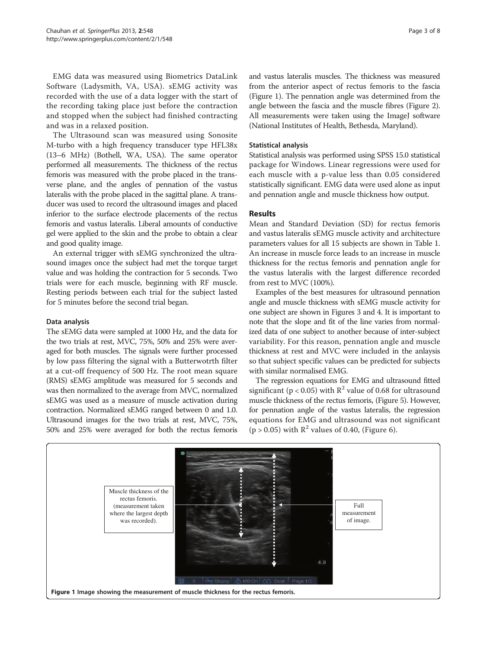EMG data was measured using Biometrics DataLink Software (Ladysmith, VA, USA). sEMG activity was recorded with the use of a data logger with the start of the recording taking place just before the contraction and stopped when the subject had finished contracting and was in a relaxed position.

The Ultrasound scan was measured using Sonosite M-turbo with a high frequency transducer type HFL38x (13–6 MHz) (Bothell, WA, USA). The same operator performed all measurements. The thickness of the rectus femoris was measured with the probe placed in the transverse plane, and the angles of pennation of the vastus lateralis with the probe placed in the sagittal plane. A transducer was used to record the ultrasound images and placed inferior to the surface electrode placements of the rectus femoris and vastus lateralis. Liberal amounts of conductive gel were applied to the skin and the probe to obtain a clear and good quality image.

An external trigger with sEMG synchronized the ultrasound images once the subject had met the torque target value and was holding the contraction for 5 seconds. Two trials were for each muscle, beginning with RF muscle. Resting periods between each trial for the subject lasted for 5 minutes before the second trial began.

#### Data analysis

The sEMG data were sampled at 1000 Hz, and the data for the two trials at rest, MVC, 75%, 50% and 25% were averaged for both muscles. The signals were further processed by low pass filtering the signal with a Butterwotrth filter at a cut-off frequency of 500 Hz. The root mean square (RMS) sEMG amplitude was measured for 5 seconds and was then normalized to the average from MVC, normalized sEMG was used as a measure of muscle activation during contraction. Normalized sEMG ranged between 0 and 1.0. Ultrasound images for the two trials at rest, MVC, 75%, 50% and 25% were averaged for both the rectus femoris and vastus lateralis muscles. The thickness was measured from the anterior aspect of rectus femoris to the fascia (Figure 1). The pennation angle was determined from the angle between the fascia and the muscle fibres (Figure [2](#page-3-0)). All measurements were taken using the ImageJ software (National Institutes of Health, Bethesda, Maryland).

#### Statistical analysis

Statistical analysis was performed using SPSS 15.0 statistical package for Windows. Linear regressions were used for each muscle with a p-value less than 0.05 considered statistically significant. EMG data were used alone as input and pennation angle and muscle thickness how output.

#### **Results**

Mean and Standard Deviation (SD) for rectus femoris and vastus lateralis sEMG muscle activity and architecture parameters values for all 15 subjects are shown in Table [1](#page-3-0). An increase in muscle force leads to an increase in muscle thickness for the rectus femoris and pennation angle for the vastus lateralis with the largest difference recorded from rest to MVC (100%).

Examples of the best measures for ultrasound pennation angle and muscle thickness with sEMG muscle activity for one subject are shown in Figures [3](#page-4-0) and [4](#page-4-0). It is important to note that the slope and fit of the line varies from normalized data of one subject to another because of inter-subject variability. For this reason, pennation angle and muscle thickness at rest and MVC were included in the anlaysis so that subject specific values can be predicted for subjects with similar normalised EMG.

The regression equations for EMG and ultrasound fitted significant ( $p < 0.05$ ) with  $R^2$  value of 0.68 for ultrasound muscle thickness of the rectus femoris, (Figure [5](#page-5-0)). However, for pennation angle of the vastus lateralis, the regression equations for EMG and ultrasound was not significant  $(p > 0.05)$  with  $\mathbb{R}^2$  values of 0.40, (Figure [6\)](#page-5-0).

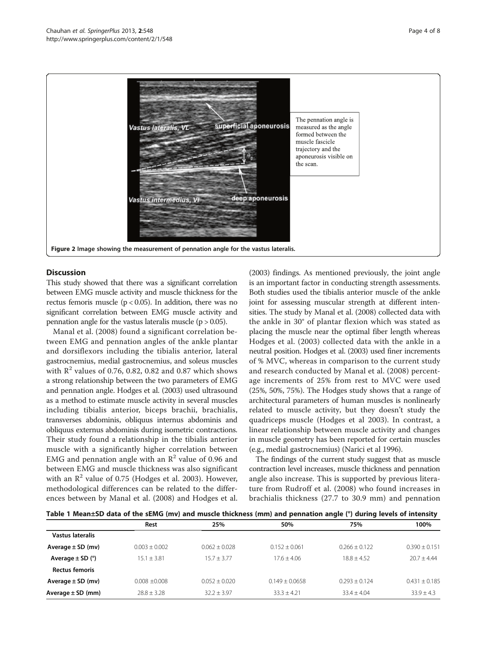<span id="page-3-0"></span>

## **Discussion**

This study showed that there was a significant correlation between EMG muscle activity and muscle thickness for the rectus femoris muscle ( $p < 0.05$ ). In addition, there was no significant correlation between EMG muscle activity and pennation angle for the vastus lateralis muscle ( $p > 0.05$ ).

Manal et al. [\(2008\)](#page-6-0) found a significant correlation between EMG and pennation angles of the ankle plantar and dorsiflexors including the tibialis anterior, lateral gastrocnemius, medial gastrocnemius, and soleus muscles with  $\mathbb{R}^2$  values of 0.76, 0.82, 0.82 and 0.87 which shows a strong relationship between the two parameters of EMG and pennation angle. Hodges et al. [\(2003](#page-6-0)) used ultrasound as a method to estimate muscle activity in several muscles including tibialis anterior, biceps brachii, brachialis, transverses abdominis, obliquus internus abdominis and obliquus externus abdominis during isometric contractions. Their study found a relationship in the tibialis anterior muscle with a significantly higher correlation between EMG and pennation angle with an  $\mathbb{R}^2$  value of 0.96 and between EMG and muscle thickness was also significant with an  $\mathbb{R}^2$  value of 0.75 (Hodges et al. [2003](#page-6-0)). However, methodological differences can be related to the differences between by Manal et al. [\(2008](#page-6-0)) and Hodges et al.

([2003](#page-6-0)) findings. As mentioned previously, the joint angle is an important factor in conducting strength assessments. Both studies used the tibialis anterior muscle of the ankle joint for assessing muscular strength at different intensities. The study by Manal et al. ([2008](#page-6-0)) collected data with the ankle in 30° of plantar flexion which was stated as placing the muscle near the optimal fiber length whereas Hodges et al. ([2003](#page-6-0)) collected data with the ankle in a neutral position. Hodges et al. [\(2003](#page-6-0)) used finer increments of % MVC, whereas in comparison to the current study and research conducted by Manal et al. ([2008](#page-6-0)) percentage increments of 25% from rest to MVC were used (25%, 50%, 75%). The Hodges study shows that a range of architectural parameters of human muscles is nonlinearly related to muscle activity, but they doesn't study the quadriceps muscle (Hodges et al [2003](#page-6-0)). In contrast, a linear relationship between muscle activity and changes in muscle geometry has been reported for certain muscles (e.g., medial gastrocnemius) (Narici et al [1996](#page-6-0)).

The findings of the current study suggest that as muscle contraction level increases, muscle thickness and pennation angle also increase. This is supported by previous literature from Rudroff et al. ([2008\)](#page-6-0) who found increases in brachialis thickness (27.7 to 30.9 mm) and pennation

| Table 1 Mean±SD data of the sEMG (mv) and muscle thickness (mm) and pennation angle (°) during levels of intensity |  |
|--------------------------------------------------------------------------------------------------------------------|--|
|--------------------------------------------------------------------------------------------------------------------|--|

|                                | Rest            | 25%             | 50%              | 75%             | 100%            |
|--------------------------------|-----------------|-----------------|------------------|-----------------|-----------------|
| Vastus lateralis               |                 |                 |                  |                 |                 |
| Average $\pm$ SD (mv)          | $0.003 + 0.002$ | $0.062 + 0.028$ | $0.152 + 0.061$  | $0.266 + 0.122$ | $0.390 + 0.151$ |
| Average $\pm$ SD ( $\degree$ ) | $15.1 + 3.81$   | $15.7 + 3.77$   | $17.6 + 4.06$    | $18.8 + 4.52$   | $20.7 + 4.44$   |
| Rectus femoris                 |                 |                 |                  |                 |                 |
| Average $\pm$ SD (mv)          | $0.008 + 0.008$ | $0.052 + 0.020$ | $0.149 + 0.0658$ | $0.293 + 0.124$ | $0.431 + 0.185$ |
| Average $\pm$ SD (mm)          | $28.8 \pm 3.28$ | $32.2 + 3.97$   | $33.3 + 4.21$    | $33.4 + 4.04$   | $33.9 + 4.3$    |
|                                |                 |                 |                  |                 |                 |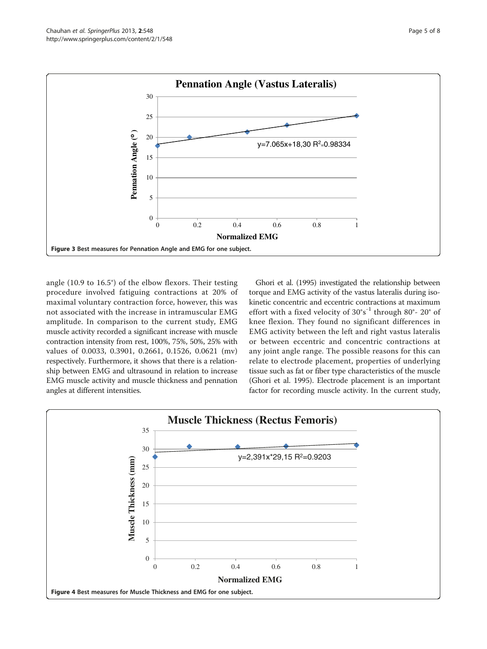<span id="page-4-0"></span>

angle (10.9 to 16.5°) of the elbow flexors. Their testing procedure involved fatiguing contractions at 20% of maximal voluntary contraction force, however, this was not associated with the increase in intramuscular EMG amplitude. In comparison to the current study, EMG muscle activity recorded a significant increase with muscle contraction intensity from rest, 100%, 75%, 50%, 25% with values of 0.0033, 0.3901, 0.2661, 0.1526, 0.0621 (mv) respectively. Furthermore, it shows that there is a relationship between EMG and ultrasound in relation to increase EMG muscle activity and muscle thickness and pennation angles at different intensities.

Ghori et al. [\(1995](#page-6-0)) investigated the relationship between torque and EMG activity of the vastus lateralis during isokinetic concentric and eccentric contractions at maximum effort with a fixed velocity of  $30^{\circ} s^{-1}$  through  $80^{\circ}$ -  $20^{\circ}$  of knee flexion. They found no significant differences in EMG activity between the left and right vastus lateralis or between eccentric and concentric contractions at any joint angle range. The possible reasons for this can relate to electrode placement, properties of underlying tissue such as fat or fiber type characteristics of the muscle (Ghori et al. [1995\)](#page-6-0). Electrode placement is an important factor for recording muscle activity. In the current study,

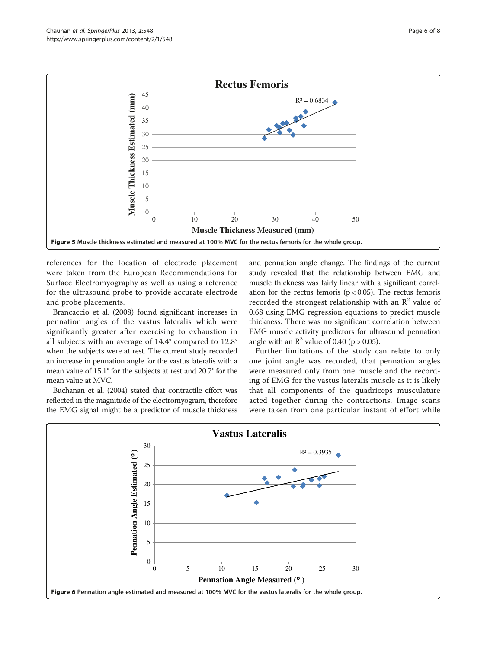<span id="page-5-0"></span>

references for the location of electrode placement were taken from the European Recommendations for Surface Electromyography as well as using a reference for the ultrasound probe to provide accurate electrode and probe placements.

Brancaccio et al. [\(2008\)](#page-6-0) found significant increases in pennation angles of the vastus lateralis which were significantly greater after exercising to exhaustion in all subjects with an average of 14.4° compared to 12.8° when the subjects were at rest. The current study recorded an increase in pennation angle for the vastus lateralis with a mean value of 15.1° for the subjects at rest and 20.7° for the mean value at MVC.

Buchanan et al. [\(2004\)](#page-6-0) stated that contractile effort was reflected in the magnitude of the electromyogram, therefore the EMG signal might be a predictor of muscle thickness and pennation angle change. The findings of the current study revealed that the relationship between EMG and muscle thickness was fairly linear with a significant correlation for the rectus femoris ( $p < 0.05$ ). The rectus femoris recorded the strongest relationship with an  $\mathbb{R}^2$  value of 0.68 using EMG regression equations to predict muscle thickness. There was no significant correlation between EMG muscle activity predictors for ultrasound pennation angle with an  $\mathbb{R}^2$  value of 0.40 (p > 0.05).

Further limitations of the study can relate to only one joint angle was recorded, that pennation angles were measured only from one muscle and the recording of EMG for the vastus lateralis muscle as it is likely that all components of the quadriceps musculature acted together during the contractions. Image scans were taken from one particular instant of effort while

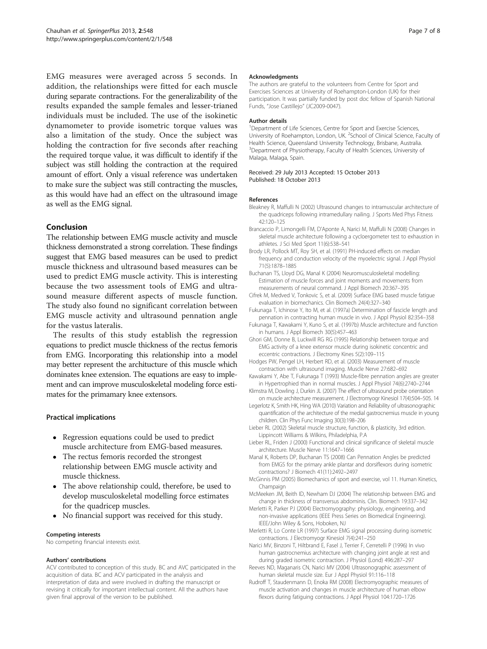<span id="page-6-0"></span>EMG measures were averaged across 5 seconds. In addition, the relationships were fitted for each muscle during separate contractions. For the generalizability of the results expanded the sample females and lesser-trianed individuals must be included. The use of the isokinetic dynamometer to provide isometric torque values was also a limitation of the study. Once the subject was holding the contraction for five seconds after reaching the required torque value, it was difficult to identify if the subject was still holding the contraction at the required amount of effort. Only a visual reference was undertaken to make sure the subject was still contracting the muscles, as this would have had an effect on the ultrasound image as well as the EMG signal.

## Conclusion

The relationship between EMG muscle activity and muscle thickness demonstrated a strong correlation. These findings suggest that EMG based measures can be used to predict muscle thickness and ultrasound based measures can be used to predict EMG muscle activity. This is interesting because the two assessment tools of EMG and ultrasound measure different aspects of muscle function. The study also found no significant correlation between EMG muscle activity and ultrasound pennation angle for the vastus lateralis.

The results of this study establish the regression equations to predict muscle thickness of the rectus femoris from EMG. Incorporating this relationship into a model may better represent the architucture of this muscle which dominates knee extension. The equations are easy to implement and can improve musculoskeletal modeling force estimates for the primamary knee extensors.

#### Practical implications

- Regression equations could be used to predict muscle architecture from EMG-based measures.
- The rectus femoris recorded the strongest relationship between EMG muscle activity and muscle thickness.
- The above relationship could, therefore, be used to develop musculoskeletal modelling force estimates for the quadricep muscles.
- No financial support was received for this study.

#### Competing interests

No competing financial interests exist.

#### Authors' contributions

ACV contributed to conception of this study. BC and AVC participated in the acquisition of data. BC and ACV participated in the analysis and interpretation of data and were involved in drafting the manuscript or revising it critically for important intellectual content. All the authors have given final approval of the version to be published.

#### Acknowledgments

The authors are grateful to the volunteers from Centre for Sport and Exercises Sciences at University of Roehampton-London (UK) for their participation. It was partially funded by post doc fellow of Spanish National Funds, "Jose Castillejo" (JC2009-0047).

#### Author details

<sup>1</sup>Department of Life Sciences, Centre for Sport and Exercise Sciences, University of Roehampton, London, UK. <sup>2</sup>School of Clinical Science, Faculty of Health Science, Queensland University Technology, Brisbane, Australia. <sup>3</sup>Department of Physiotherapy, Faculty of Health Sciences, University of Malaga, Malaga, Spain.

#### Received: 29 July 2013 Accepted: 15 October 2013 Published: 18 October 2013

#### References

- Bleakney R, Maffulli N (2002) Ultrasound changes to intramuscular architecture of the quadriceps following intramedullary nailing. J Sports Med Phys Fitness 42:120–125
- Brancaccio P, Limongelli FM, D'Aponte A, Narici M, Maffulli N (2008) Changes in skeletal muscle architecture following a cycloergometer test to exhaustion in athletes. J Sci Med Sport 11(6):538–541
- Brody LR, Pollock MT, Roy SH, et al. (1991) PH-induced effects on median frequency and conduction velocity of the myoelectric signal. J Appl Physiol 71(5):1878–1885
- Buchanan TS, Lloyd DG, Manal K (2004) Neuromusculoskeletal modelling: Estimation of muscle forces and joint moments and movements from measurements of neural command. J Appl Biomech 20:367–395
- Cifrek M, Medved V, Tonkovic S, et al. (2009) Surface EMG based muscle fatigue evaluation in biomechanics. Clin Biomech 24(4):327–340
- Fukunaga T, Ichinose Y, Ito M, et al. (1997a) Determination of fascicle length and pennation in contracting human muscle in vivo. J Appl Physiol 82:354–358
- Fukunaga T, Kawakami Y, Kuno S, et al. (1997b) Muscle architecture and function in humans. J Appl Biomech 30(5):457–463
- Ghori GM, Donne B, Luckwill RG RG (1995) Relationship between torque and EMG activity of a knee extensor muscle during isokinetic concentric and eccentric contractions. J Electromy Kines 5(2):109–115
- Hodges PW, Pengel LH, Herbert RD, et al. (2003) Measurement of muscle contraction with ultrasound imaging. Muscle Nerve 27:682–692
- Kawakami Y, Abe T, Fukunaga T (1993) Muscle-fibre pennation angles are greater in Hypertrophied than in normal muscles. J Appl Physiol 74(6):2740–2744
- Klimstra M, Dowling J, Durkin JL (2007) The effect of ultrasound probe orientation on muscle architecture measurement. J Electromyogr Kinesiol 17(4):504–505. 14
- Legerlotz K, Smith HK, Hing WA (2010) Variation and Reliability of ultrasonographic quantification of the architecture of the medial gastrocnemius muscle in young children. Clin Phys Func Imaging 30(3):198–206
- Lieber RL (2002) Skeletal muscle structure, function, & plasticity, 3rd edition. Lippincott Williams & Wilkins, Philadelphia, P.A
- Lieber RL, Friden J (2000) Functional and clinical significance of skeletal muscle architecture. Muscle Nerve 11:1647–1666
- Manal K, Roberts DP, Buchanan TS (2008) Can Pennation Angles be predicted from EMGS for the primary ankle plantar and dorsiflexors during isometric contractions? J Biomech 41(11):2492–2497
- McGinnis PM (2005) Biomechanics of sport and exercise, vol 11. Human Kinetics, Champaign
- McMeeken JM, Beith ID, Newham DJ (2004) The relationship between EMG and change in thickness of transversus abdominis. Clin. Biomech 19:337–342
- Merletti R, Parker PJ (2004) Electromyography: physiology, engineering, and non-invasive applications (IEEE Press Series on Biomedical Engineering). IEEE/John Wiley & Sons, Hoboken, NJ
- Merletti R, Lo Conte LR (1997) Surface EMG signal processing during isometric contractions. J Electromyogr Kinesiol 7(4):241–250
- Narici MV, Binzoni T, Hiltbrand E, Fasel J, Terrier F, Cerretelli P (1996) In vivo human gastrocnemius architecture with changing joint angle at rest and during graded isometric contraction. J Physiol (Lond) 496:287–297
- Reeves ND, Maganaris CN, Narici MV (2004) Ultrasonographic assessment of human skeletal muscle size. Eur J Appl Physiol 91:116–118
- Rudroff T, Staudenmann D, Enoka RM (2008) Electromyographic measures of muscle activation and changes in muscle architecture of human elbow flexors during fatiguing contractions. J Appl Physiol 104:1720–1726